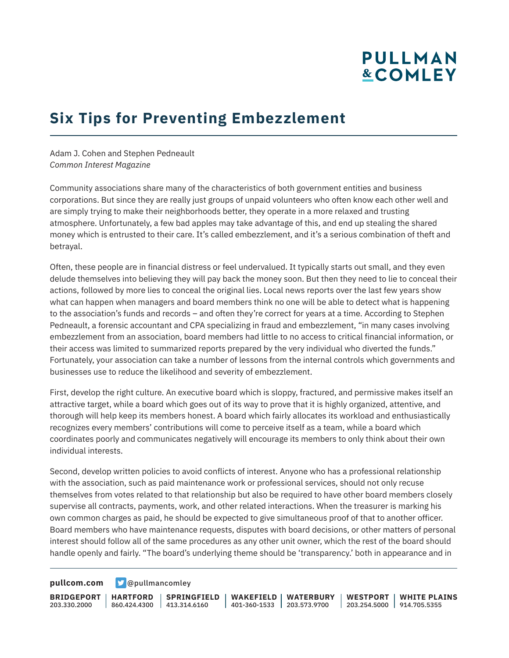# **PULLMAN &COMLEY**

### **Six Tips for Preventing Embezzlement**

Adam J. Cohen and Stephen Pedneault *Common Interest Magazine*

Community associations share many of the characteristics of both government entities and business corporations. But since they are really just groups of unpaid volunteers who often know each other well and are simply trying to make their neighborhoods better, they operate in a more relaxed and trusting atmosphere. Unfortunately, a few bad apples may take advantage of this, and end up stealing the shared money which is entrusted to their care. It's called embezzlement, and it's a serious combination of theft and betrayal.

Often, these people are in financial distress or feel undervalued. It typically starts out small, and they even delude themselves into believing they will pay back the money soon. But then they need to lie to conceal their actions, followed by more lies to conceal the original lies. Local news reports over the last few years show what can happen when managers and board members think no one will be able to detect what is happening to the association's funds and records – and often they're correct for years at a time. According to Stephen Pedneault, a forensic accountant and CPA specializing in fraud and embezzlement, "in many cases involving embezzlement from an association, board members had little to no access to critical financial information, or their access was limited to summarized reports prepared by the very individual who diverted the funds." Fortunately, your association can take a number of lessons from the internal controls which governments and businesses use to reduce the likelihood and severity of embezzlement.

First, develop the right culture. An executive board which is sloppy, fractured, and permissive makes itself an attractive target, while a board which goes out of its way to prove that it is highly organized, attentive, and thorough will help keep its members honest. A board which fairly allocates its workload and enthusiastically recognizes every members' contributions will come to perceive itself as a team, while a board which coordinates poorly and communicates negatively will encourage its members to only think about their own individual interests.

Second, develop written policies to avoid conflicts of interest. Anyone who has a professional relationship with the association, such as paid maintenance work or professional services, should not only recuse themselves from votes related to that relationship but also be required to have other board members closely supervise all contracts, payments, work, and other related interactions. When the treasurer is marking his own common charges as paid, he should be expected to give simultaneous proof of that to another officer. Board members who have maintenance requests, disputes with board decisions, or other matters of personal interest should follow all of the same procedures as any other unit owner, which the rest of the board should handle openly and fairly. "The board's underlying theme should be 'transparency.' both in appearance and in

**[pullcom.com](https://www.pullcom.com) g** [@pullmancomley](https://twitter.com/PullmanComley)

**BRIDGEPORT HARTFORD** 203.330.2000

860.424.4300 413.314.6160 **SPRINGFIELD** **WAKEFIELD WATERBURY** 401-360-1533 203.573.9700

**WESTPORT WHITE PLAINS** 203.254.5000 914.705.5355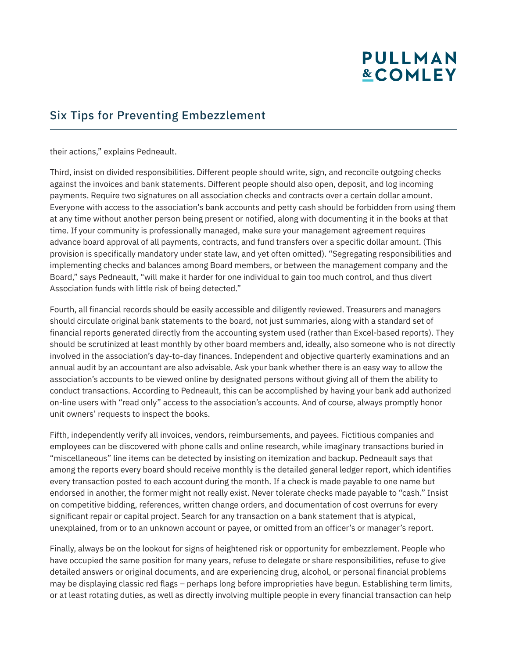# **PULLMAN &COMLEY**

#### Six Tips for Preventing Embezzlement

their actions," explains Pedneault.

Third, insist on divided responsibilities. Different people should write, sign, and reconcile outgoing checks against the invoices and bank statements. Different people should also open, deposit, and log incoming payments. Require two signatures on all association checks and contracts over a certain dollar amount. Everyone with access to the association's bank accounts and petty cash should be forbidden from using them at any time without another person being present or notified, along with documenting it in the books at that time. If your community is professionally managed, make sure your management agreement requires advance board approval of all payments, contracts, and fund transfers over a specific dollar amount. (This provision is specifically mandatory under state law, and yet often omitted). "Segregating responsibilities and implementing checks and balances among Board members, or between the management company and the Board," says Pedneault, "will make it harder for one individual to gain too much control, and thus divert Association funds with little risk of being detected."

Fourth, all financial records should be easily accessible and diligently reviewed. Treasurers and managers should circulate original bank statements to the board, not just summaries, along with a standard set of financial reports generated directly from the accounting system used (rather than Excel-based reports). They should be scrutinized at least monthly by other board members and, ideally, also someone who is not directly involved in the association's day-to-day finances. Independent and objective quarterly examinations and an annual audit by an accountant are also advisable. Ask your bank whether there is an easy way to allow the association's accounts to be viewed online by designated persons without giving all of them the ability to conduct transactions. According to Pedneault, this can be accomplished by having your bank add authorized on-line users with "read only" access to the association's accounts. And of course, always promptly honor unit owners' requests to inspect the books.

Fifth, independently verify all invoices, vendors, reimbursements, and payees. Fictitious companies and employees can be discovered with phone calls and online research, while imaginary transactions buried in "miscellaneous" line items can be detected by insisting on itemization and backup. Pedneault says that among the reports every board should receive monthly is the detailed general ledger report, which identifies every transaction posted to each account during the month. If a check is made payable to one name but endorsed in another, the former might not really exist. Never tolerate checks made payable to "cash." Insist on competitive bidding, references, written change orders, and documentation of cost overruns for every significant repair or capital project. Search for any transaction on a bank statement that is atypical, unexplained, from or to an unknown account or payee, or omitted from an officer's or manager's report.

Finally, always be on the lookout for signs of heightened risk or opportunity for embezzlement. People who have occupied the same position for many years, refuse to delegate or share responsibilities, refuse to give detailed answers or original documents, and are experiencing drug, alcohol, or personal financial problems may be displaying classic red flags – perhaps long before improprieties have begun. Establishing term limits, or at least rotating duties, as well as directly involving multiple people in every financial transaction can help